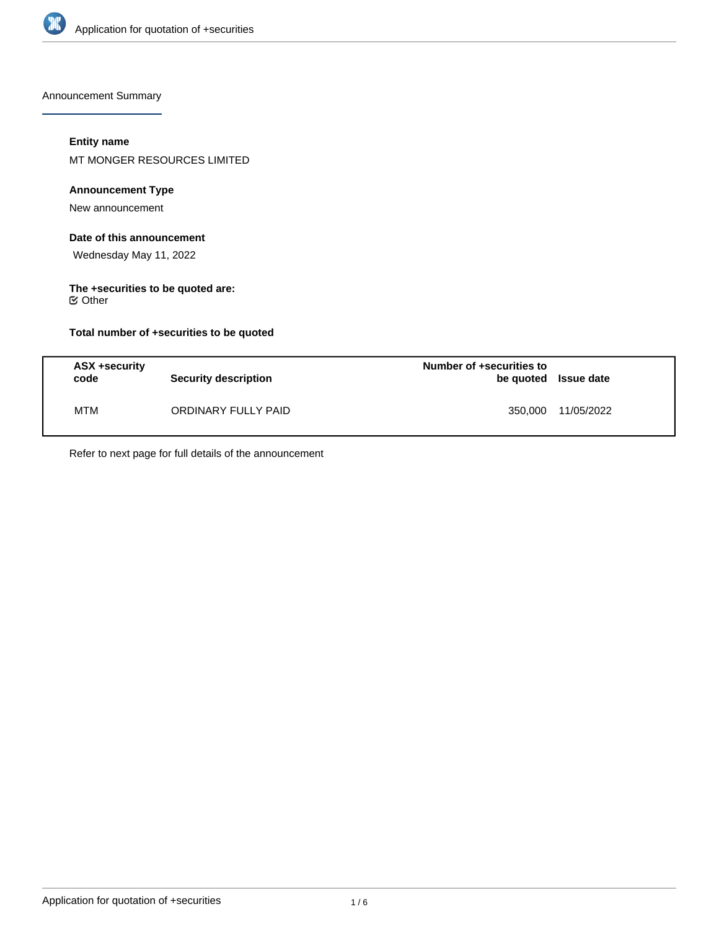

Announcement Summary

# **Entity name**

MT MONGER RESOURCES LIMITED

# **Announcement Type**

New announcement

# **Date of this announcement**

Wednesday May 11, 2022

#### **The +securities to be quoted are:**  $⊜$  Other

**Total number of +securities to be quoted**

| ASX +security<br>code | Security description | Number of +securities to<br>be quoted Issue date |            |
|-----------------------|----------------------|--------------------------------------------------|------------|
| MTM                   | ORDINARY FULLY PAID  | 350.000                                          | 11/05/2022 |

Refer to next page for full details of the announcement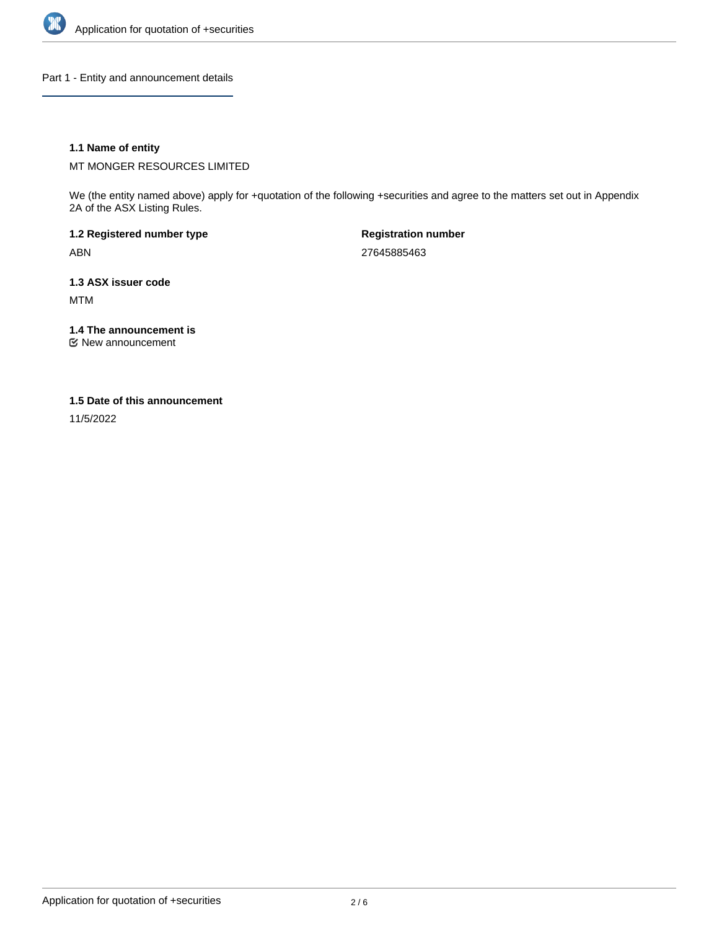

Part 1 - Entity and announcement details

# **1.1 Name of entity**

MT MONGER RESOURCES LIMITED

We (the entity named above) apply for +quotation of the following +securities and agree to the matters set out in Appendix 2A of the ASX Listing Rules.

**1.2 Registered number type** ABN

**Registration number** 27645885463

**1.3 ASX issuer code** MTM

**1.4 The announcement is**

New announcement

#### **1.5 Date of this announcement**

11/5/2022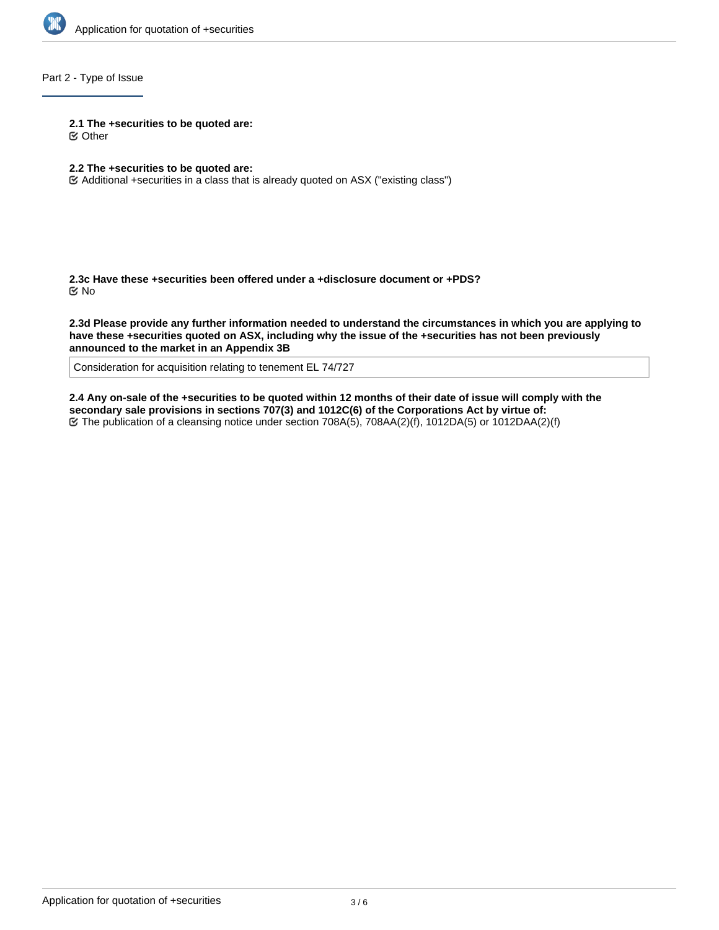

# Part 2 - Type of Issue

**2.1 The +securities to be quoted are:**

Other

## **2.2 The +securities to be quoted are:**

Additional +securities in a class that is already quoted on ASX ("existing class")

**2.3c Have these +securities been offered under a +disclosure document or +PDS?** No

**2.3d Please provide any further information needed to understand the circumstances in which you are applying to have these +securities quoted on ASX, including why the issue of the +securities has not been previously announced to the market in an Appendix 3B**

Consideration for acquisition relating to tenement EL 74/727

**2.4 Any on-sale of the +securities to be quoted within 12 months of their date of issue will comply with the secondary sale provisions in sections 707(3) and 1012C(6) of the Corporations Act by virtue of:** The publication of a cleansing notice under section 708A(5), 708AA(2)(f), 1012DA(5) or 1012DAA(2)(f)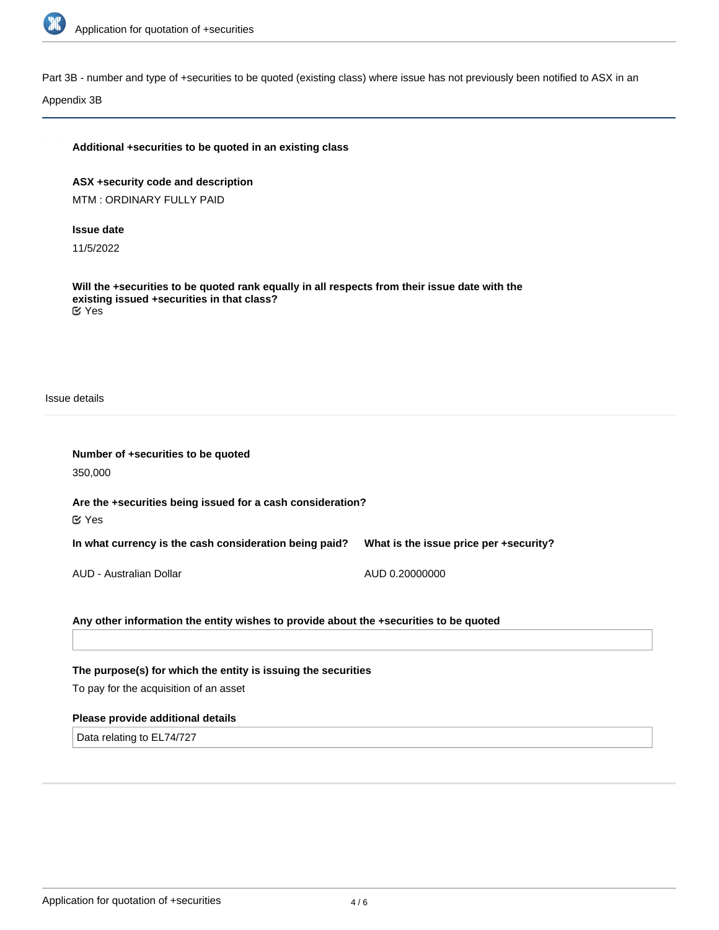

Part 3B - number and type of +securities to be quoted (existing class) where issue has not previously been notified to ASX in an

Appendix 3B

# **Additional +securities to be quoted in an existing class**

**ASX +security code and description** MTM : ORDINARY FULLY PAID

#### **Issue date**

11/5/2022

**Will the +securities to be quoted rank equally in all respects from their issue date with the existing issued +securities in that class?** Yes

Issue details

| Number of +securities to be quoted                                                    |                                        |  |  |  |
|---------------------------------------------------------------------------------------|----------------------------------------|--|--|--|
| 350,000                                                                               |                                        |  |  |  |
| Are the +securities being issued for a cash consideration?<br>$\mathfrak{C}$ Yes      |                                        |  |  |  |
| In what currency is the cash consideration being paid?                                | What is the issue price per +security? |  |  |  |
| AUD - Australian Dollar                                                               | AUD 0.20000000                         |  |  |  |
| Any other information the entity wishes to provide about the +securities to be quoted |                                        |  |  |  |
|                                                                                       |                                        |  |  |  |

**The purpose(s) for which the entity is issuing the securities**

To pay for the acquisition of an asset

# **Please provide additional details**

Data relating to EL74/727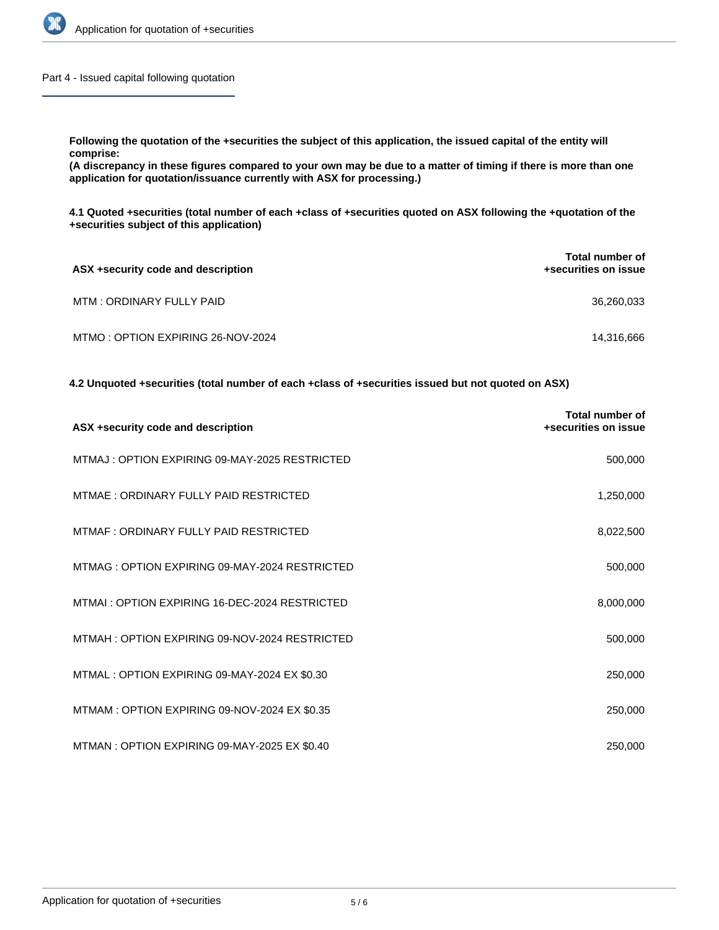

Part 4 - Issued capital following quotation

**Following the quotation of the +securities the subject of this application, the issued capital of the entity will comprise: (A discrepancy in these figures compared to your own may be due to a matter of timing if there is more than one**

**application for quotation/issuance currently with ASX for processing.)**

**4.1 Quoted +securities (total number of each +class of +securities quoted on ASX following the +quotation of the +securities subject of this application)**

| ASX +security code and description | <b>Total number of</b><br>+securities on issue |
|------------------------------------|------------------------------------------------|
| MTM: ORDINARY FULLY PAID           | 36,260,033                                     |
| MTMO: OPTION EXPIRING 26-NOV-2024  | 14,316,666                                     |

**4.2 Unquoted +securities (total number of each +class of +securities issued but not quoted on ASX)**

| ASX +security code and description            | <b>Total number of</b><br>+securities on issue |
|-----------------------------------------------|------------------------------------------------|
| MTMAJ: OPTION EXPIRING 09-MAY-2025 RESTRICTED | 500,000                                        |
| MTMAE: ORDINARY FULLY PAID RESTRICTED         | 1,250,000                                      |
| MTMAF: ORDINARY FULLY PAID RESTRICTED         | 8,022,500                                      |
| MTMAG: OPTION EXPIRING 09-MAY-2024 RESTRICTED | 500,000                                        |
| MTMAI: OPTION EXPIRING 16-DEC-2024 RESTRICTED | 8,000,000                                      |
| MTMAH: OPTION EXPIRING 09-NOV-2024 RESTRICTED | 500,000                                        |
| MTMAL: OPTION EXPIRING 09-MAY-2024 EX \$0.30  | 250,000                                        |
| MTMAM: OPTION EXPIRING 09-NOV-2024 EX \$0.35  | 250,000                                        |
| MTMAN: OPTION EXPIRING 09-MAY-2025 EX \$0.40  | 250,000                                        |